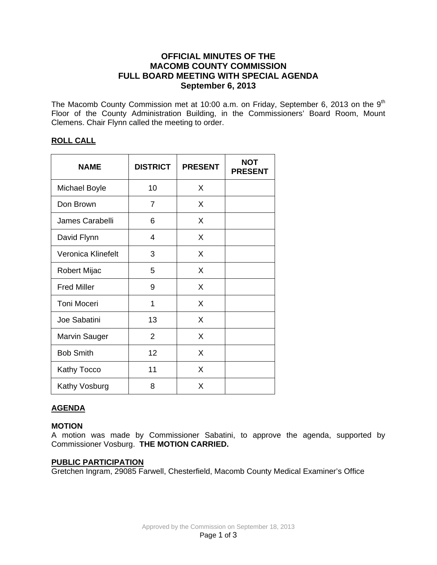# **OFFICIAL MINUTES OF THE MACOMB COUNTY COMMISSION FULL BOARD MEETING WITH SPECIAL AGENDA September 6, 2013**

The Macomb County Commission met at 10:00 a.m. on Friday, September 6, 2013 on the  $9<sup>th</sup>$ Floor of the County Administration Building, in the Commissioners' Board Room, Mount Clemens. Chair Flynn called the meeting to order.

## **ROLL CALL**

| <b>NAME</b>          | <b>DISTRICT</b> | <b>PRESENT</b> | <b>NOT</b><br><b>PRESENT</b> |
|----------------------|-----------------|----------------|------------------------------|
| <b>Michael Boyle</b> | 10              | X              |                              |
| Don Brown            | 7               | X              |                              |
| James Carabelli      | 6               | X              |                              |
| David Flynn          | 4               | X              |                              |
| Veronica Klinefelt   | 3               | X              |                              |
| Robert Mijac         | 5               | X              |                              |
| <b>Fred Miller</b>   | 9               | X              |                              |
| Toni Moceri          | 1               | X              |                              |
| Joe Sabatini         | 13              | X              |                              |
| <b>Marvin Sauger</b> | 2               | X              |                              |
| <b>Bob Smith</b>     | 12              | X              |                              |
| Kathy Tocco          | 11              | X              |                              |
| Kathy Vosburg        | 8               | X              |                              |

## **AGENDA**

#### **MOTION**

A motion was made by Commissioner Sabatini, to approve the agenda, supported by Commissioner Vosburg. **THE MOTION CARRIED.** 

#### **PUBLIC PARTICIPATION**

Gretchen Ingram, 29085 Farwell, Chesterfield, Macomb County Medical Examiner's Office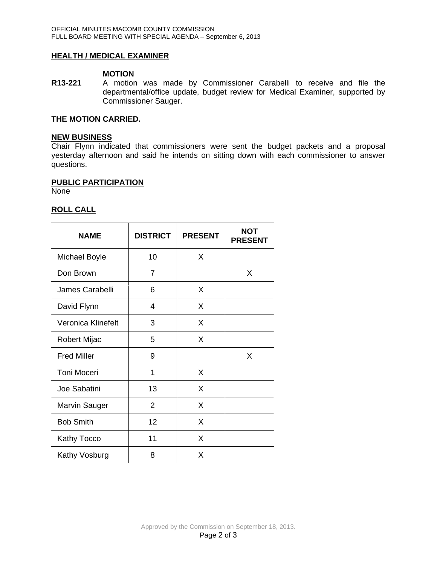## **HEALTH / MEDICAL EXAMINER**

#### **MOTION**

**R13-221** A motion was made by Commissioner Carabelli to receive and file the departmental/office update, budget review for Medical Examiner, supported by Commissioner Sauger.

# **THE MOTION CARRIED.**

#### **NEW BUSINESS**

Chair Flynn indicated that commissioners were sent the budget packets and a proposal yesterday afternoon and said he intends on sitting down with each commissioner to answer questions.

#### **PUBLIC PARTICIPATION**

None

### **ROLL CALL**

| <b>NAME</b>          | <b>DISTRICT</b> | <b>PRESENT</b> | <b>NOT</b><br><b>PRESENT</b> |
|----------------------|-----------------|----------------|------------------------------|
| <b>Michael Boyle</b> | 10              | X              |                              |
| Don Brown            | 7               |                | X                            |
| James Carabelli      | 6               | X              |                              |
| David Flynn          | 4               | X              |                              |
| Veronica Klinefelt   | 3               | X              |                              |
| <b>Robert Mijac</b>  | 5               | X              |                              |
| <b>Fred Miller</b>   | 9               |                | X                            |
| <b>Toni Moceri</b>   | 1               | X              |                              |
| Joe Sabatini         | 13              | X              |                              |
| <b>Marvin Sauger</b> | $\overline{2}$  | X              |                              |
| <b>Bob Smith</b>     | 12              | X              |                              |
| Kathy Tocco          | 11              | X              |                              |
| Kathy Vosburg        | 8               | X              |                              |